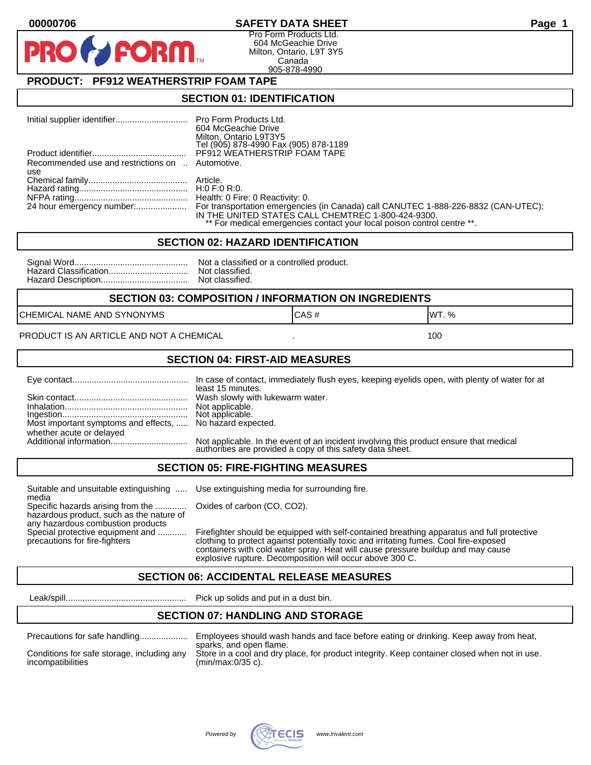### **00000706 SAFETY DATA SHEET Page 1**

Pro Form Products Ltd. 604 McGeachie Drive Milton, Ontario, L9T 3Y5 Canada 905-878-4990

## **PRODUCT: PF912 WEATHERSTRIP FOAM TAPE**

**FORM** 

#### **SECTION 01: IDENTIFICATION**

|                                                  | 604 McGeachie Drive                                                     |
|--------------------------------------------------|-------------------------------------------------------------------------|
|                                                  | Milton, Ontario L9T3Y5<br>Tel (905) 878-4990 Fax (905) 878-1189         |
|                                                  | PF912 WEATHERSTRIP FOAM TAPE                                            |
|                                                  |                                                                         |
| Recommended use and restrictions on  Automotive. |                                                                         |
| use                                              |                                                                         |
|                                                  |                                                                         |
|                                                  |                                                                         |
|                                                  |                                                                         |
|                                                  | IN THE UNITED STATES CALL CHEMTREC 1-800-424-9300.                      |
|                                                  | ** For medical emergencies contact your local poison control centre **. |

#### **SECTION 02: HAZARD IDENTIFICATION**

| Nc             |
|----------------|
| N <sub>C</sub> |
| N <sub>C</sub> |

ot a classified or a controlled product. ot classified. ot classified.

#### **SECTION 03: COMPOSITION / INFORMATION ON INGREDIENTS**

CHEMICAL NAME AND SYNONYMS GAS AND CAS # CAS # WT. %

#### PRODUCT IS AN ARTICLE AND NOT A CHEMICAL **AND THE SET AND A SET ALL ASSAULT** 100

#### **SECTION 04: FIRST-AID MEASURES**

|                                                                                       | least 15 minutes.                                                                                                                                    |
|---------------------------------------------------------------------------------------|------------------------------------------------------------------------------------------------------------------------------------------------------|
|                                                                                       |                                                                                                                                                      |
| Most important symptoms and effects,  No hazard expected.<br>whether acute or delayed |                                                                                                                                                      |
|                                                                                       | Not applicable. In the event of an incident involving this product ensure that medical<br>authorities are provided a copy of this safety data sheet. |

#### **SECTION 05: FIRE-FIGHTING MEASURES**

Suitable and unsuitable extinguishing ..... Use extinguishing media for surrounding fire. media

Specific hazards arising from the ............. Oxides of carbon (CO, CO2). hazardous product, such as the nature of any hazardous combustion products

Special protective equipment and ............ Firefighter should be equipped with self-contained breathing apparatus and full protective<br>precautions for fire-fighters continent clothing to protect against potentially toxic clothing to protect against potentially toxic and irritating fumes. Cool fire-exposed containers with cold water spray. Heat will cause pressure buildup and may cause explosive rupture. Decomposition will occur above 300 C.

## **SECTION 06: ACCIDENTAL RELEASE MEASURES**

Leak/spill.................................................. Pick up solids and put in a dust bin.

### **SECTION 07: HANDLING AND STORAGE**

| Precautions for safe nandling |  |  |
|-------------------------------|--|--|
|                               |  |  |

incompatibilities (min/max:0/35 c).

Precautions for safe handling.................... Employees should wash hands and face before eating or drinking. Keep away from heat, sparks, and open flame. Conditions for safe storage, including any Store in a cool and dry place, for product integrity. Keep container closed when not in use.

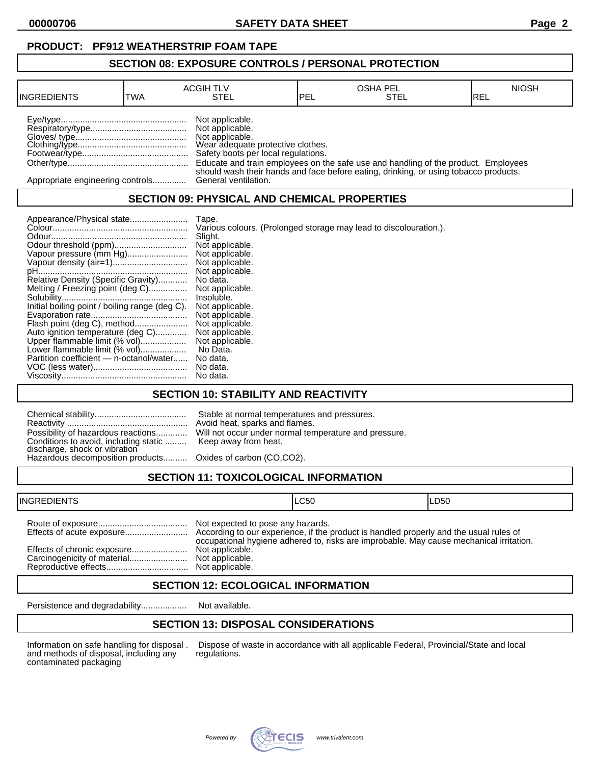**00000706 SAFETY DATA SHEET Page 2**

### **SECTION 08: EXPOSURE CONTROLS / PERSONAL PROTECTION**

| <b>INGREDIENTS</b>               | TWA | <b>ACGIH TLV</b><br>STEL                                                                                                          | PEL | <b>OSHA PEL</b><br>STEL                                                              | <b>NIOSH</b><br>IREL |
|----------------------------------|-----|-----------------------------------------------------------------------------------------------------------------------------------|-----|--------------------------------------------------------------------------------------|----------------------|
|                                  |     | Not applicable.<br>Not applicable.<br>Not applicable.<br>Wear adequate protective clothes.<br>Safety boots per local regulations. |     | Educate and train employees on the safe use and handling of the product. Employees   |                      |
| Appropriate engineering controls |     | General ventilation.                                                                                                              |     | should wash their hands and face before eating, drinking, or using tobacco products. |                      |

## **SECTION 09: PHYSICAL AND CHEMICAL PROPERTIES**

| Tape.<br>Slight.<br>Vapour pressure (mm Hg)<br>Relative Density (Specific Gravity)<br>No data.<br>Melting / Freezing point (deg C)<br>Insoluble.<br>Initial boiling point / boiling range (deg C).<br>Flash point (deg C), method<br>Auto ignition temperature (deg C)<br>Upper flammable limit (% vol)<br>Lower flammable limit (% vol)<br>No Data.<br>Partition coefficient - n-octanol/water<br>No data.<br>No data.<br>No data. | Various colours. (Prolonged storage may lead to discolouration.).<br>Not applicable.<br>Not applicable.<br>Not applicable.<br>Not applicable.<br>Not applicable.<br>Not applicable.<br>Not applicable.<br>Not applicable.<br>Not applicable.<br>Not applicable. |
|-------------------------------------------------------------------------------------------------------------------------------------------------------------------------------------------------------------------------------------------------------------------------------------------------------------------------------------------------------------------------------------------------------------------------------------|-----------------------------------------------------------------------------------------------------------------------------------------------------------------------------------------------------------------------------------------------------------------|
|-------------------------------------------------------------------------------------------------------------------------------------------------------------------------------------------------------------------------------------------------------------------------------------------------------------------------------------------------------------------------------------------------------------------------------------|-----------------------------------------------------------------------------------------------------------------------------------------------------------------------------------------------------------------------------------------------------------------|

### **SECTION 10: STABILITY AND REACTIVITY**

| Conditions to avoid, including static  Keep away from heat.<br>discharge, shock or vibration<br>Hazardous decomposition products Oxides of carbon (CO,CO2). | Stable at normal temperatures and pressures.<br>Avoid heat, sparks and flames.<br>Possibility of hazardous reactions Will not occur under normal temperature and pressure. |
|-------------------------------------------------------------------------------------------------------------------------------------------------------------|----------------------------------------------------------------------------------------------------------------------------------------------------------------------------|
|                                                                                                                                                             |                                                                                                                                                                            |

# **SECTION 11: TOXICOLOGICAL INFORMATION**

| <b>INGREDIENTS</b> |                                                                                            | ILC50                                                                                   | ILD50 |
|--------------------|--------------------------------------------------------------------------------------------|-----------------------------------------------------------------------------------------|-------|
|                    | Not expected to pose any hazards.<br>Not applicable.<br>Not applicable.<br>Not applicable. | occupational hygiene adhered to, risks are improbable. May cause mechanical irritation. |       |

### **SECTION 12: ECOLOGICAL INFORMATION**

Persistence and degradability................... Not available.

# **SECTION 13: DISPOSAL CONSIDERATIONS**

and methods of disposal, including any contaminated packaging

Information on safe handling for disposal . Dispose of waste in accordance with all applicable Federal, Provincial/State and local